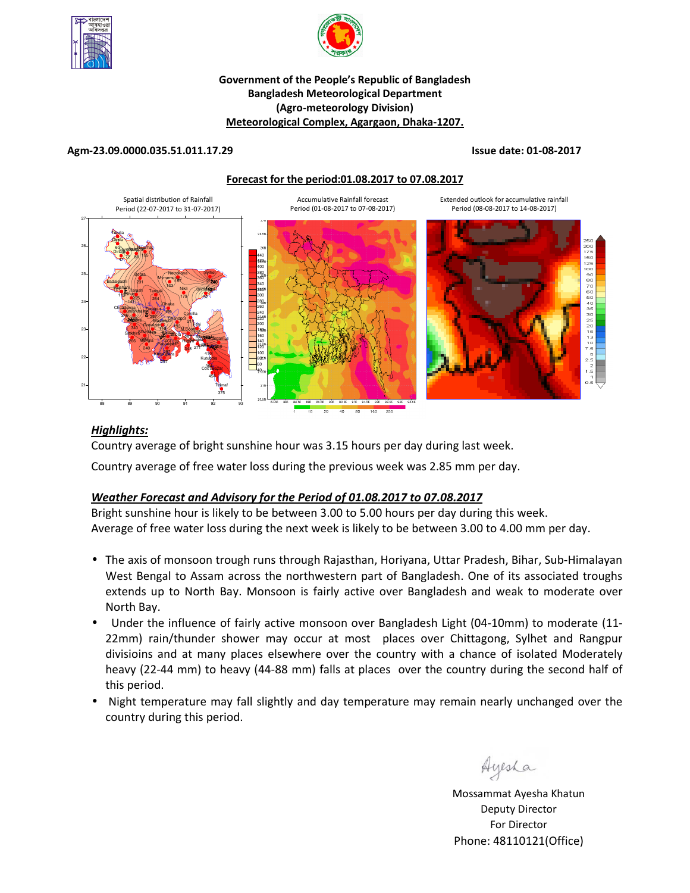



#### **Government of the People's Republic of Bangladesh Bangladesh Meteorological Department (Agro-meteorology Division) Meteorological Complex, Agargaon, Dhaka-1207.**

#### **Agm-23.09.0000.035.51.011.17.29 Issue date: 01-08-2017**

#### **Forecast for the period:01.08.2017 to 07.08.2017**



### *Highlights:*

Country average of bright sunshine hour was 3.15 hours per day during last week.

Country average of free water loss during the previous week was 2.85 mm per day.

## *Weather Forecast and Advisory for the Period of 01.08.2017 to 07.08.2017*

Bright sunshine hour is likely to be between 3.00 to 5.00 hours per day during this week. Average of free water loss during the next week is likely to be between 3.00 to 4.00 mm per day.

- The axis of monsoon trough runs through Rajasthan, Horiyana, Uttar Pradesh, Bihar, Sub-Himalayan West Bengal to Assam across the northwestern part of Bangladesh. One of its associated troughs extends up to North Bay. Monsoon is fairly active over Bangladesh and weak to moderate over North Bay.
- Under the influence of fairly active monsoon over Bangladesh Light (04-10mm) to moderate (11- 22mm) rain/thunder shower may occur at most places over Chittagong, Sylhet and Rangpur divisioins and at many places elsewhere over the country with a chance of isolated Moderately heavy (22-44 mm) to heavy (44-88 mm) falls at places over the country during the second half of this period.
- Night temperature may fall slightly and day temperature may remain nearly unchanged over the country during this period.

Ayesha

Mossammat Ayesha Khatun Deputy Director For Director Phone: 48110121(Office)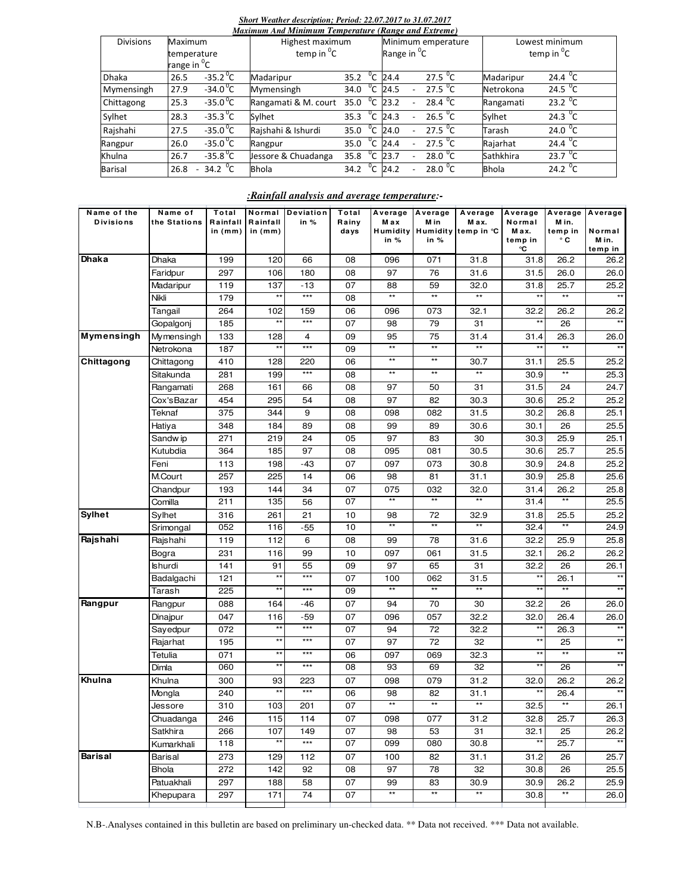#### *Short Weather description; Period: 22.07.2017 to 31.07.2017*

|                  |                                                   |                                                 |  | Maximum And Minimum Temperature (Range and Extreme) |      |              |                                               |                          |                     |                                     |                                |  |
|------------------|---------------------------------------------------|-------------------------------------------------|--|-----------------------------------------------------|------|--------------|-----------------------------------------------|--------------------------|---------------------|-------------------------------------|--------------------------------|--|
| <b>Divisions</b> | Maximum<br>temperature<br>range in <sup>o</sup> C |                                                 |  | Highest maximum<br>temp in ${}^{0}C$                |      |              | Minimum emperature<br>Range in <sup>o</sup> C |                          |                     | Lowest minimum<br>temp in ${}^{0}C$ |                                |  |
| <b>Dhaka</b>     | 26.5                                              | $-35.2$ <sup>o</sup> C                          |  | Madaripur                                           | 35.2 | $^0$ C       | 24.4                                          |                          | 27.5 $\mathrm{^0C}$ | Madaripur                           | 24.4 $^0C$                     |  |
| Mymensingh       | 27.9                                              | $-34.0^{\circ}$ C                               |  | Mymensingh                                          | 34.0 | °с           | 24.5                                          | $\overline{a}$           | 27.5 $\mathrm{^0C}$ | Netrokona                           | 24.5 $\degree$ C               |  |
| Chittagong       | 25.3                                              | $-35.0^{\circ}$ C                               |  | Rangamati & M. court                                | 35.0 | $^{\circ}$ c | 23.2                                          |                          | $28.4\text{ °C}$    | Rangamati                           | 23.2 $\sqrt[0]{C}$             |  |
| Sylhet           | 28.3                                              | $-35.3\text{ }^0C$                              |  | Sylhet                                              | 35.3 | °c           | 24.3                                          | $\overline{a}$           | 26.5 $^{\circ}$ C   | Sylhet                              | $24.3\text{ }^{\circ}\text{C}$ |  |
| Rajshahi         | 27.5                                              | $-35.0^{\circ}$ C                               |  | Rajshahi & Ishurdi                                  | 35.0 | °c           | 24.0                                          | $\overline{\phantom{0}}$ | 27.5 $\mathrm{^0C}$ | Tarash                              | 24.0 $\degree$ C               |  |
| Rangpur          | 26.0                                              | $-35.0^{\circ}$ C                               |  | Rangpur                                             | 35.0 | $^0C$        | 24.4                                          |                          | 27.5 $\mathrm{^0C}$ | Rajarhat                            | 24.4 $\sqrt[6]{C}$             |  |
| Khulna           | 26.7                                              | $-35.8^{\circ}$ C                               |  | Jessore & Chuadanga                                 | 35.8 | °c           | 23.7                                          |                          | $28.0\text{ °C}$    | Sathkhira                           | 23.7 $\sqrt[1]{C}$             |  |
| <b>Barisal</b>   | 26.8                                              | 34.2 $\mathrm{^0C}$<br>$\overline{\phantom{a}}$ |  | <b>Bhola</b>                                        | 34.2 | 'C           | 24.2                                          | $\overline{a}$           | $28.0\text{ °C}$    | <b>Bhola</b>                        | 24.2 $\mathrm{^0C}$            |  |

### *:Rainfall analysis and average temperature:-*

| Name of the       | Name of        | Total                 | Normal                | Deviation      | Total         | Average           | Average          | Average            | Average         | Average          | Average         |
|-------------------|----------------|-----------------------|-----------------------|----------------|---------------|-------------------|------------------|--------------------|-----------------|------------------|-----------------|
| <b>Divisions</b>  | the Stations   | Rainfall<br>in $(mm)$ | Rainfall<br>in $(mm)$ | in $%$         | Rainy<br>days | M a x<br>Humidity | M in<br>Humidity | Max.<br>temp in °C | Normal<br>M ax. | M in.<br>temp in | Normal          |
|                   |                |                       |                       |                |               | in %              | in %             |                    | temp in         | ۰c               | M in.           |
|                   |                |                       |                       |                |               |                   |                  |                    | ℃               |                  | temp in         |
| Dhaka             | Dhaka          | 199                   | 120                   | 66             | 08            | 096               | 071              | 31.8               | 31.8            | 26.2             | 26.2            |
|                   | Faridpur       | 297                   | 106                   | 180            | 08            | 97                | 76               | 31.6               | 31.5            | 26.0             | 26.0            |
|                   | Madaripur      | 119                   | 137                   | $-13$          | 07            | 88                | 59               | 32.0               | 31.8            | 25.7             | 25.2            |
|                   | Nikli          | 179                   | $\star\star$          | ***            | 08            | $**$              | $**$             | $**$               | $***$           | $**$             | $**$            |
|                   | Tangail        | 264                   | 102                   | 159            | 06            | 096               | 073              | 32.1               | 32.2            | 26.2             | 26.2            |
|                   | Gopalgonj      | 185                   | **                    | ***            | 07            | 98                | 79               | 31                 | $***$           | 26               |                 |
| <b>Mymensingh</b> | Mymensingh     | 133                   | 128                   | $\overline{4}$ | 09            | 95                | 75               | 31.4               | 31.4            | 26.3             | 26.0            |
|                   | Netrokona      | 187                   | $\star\star$          | $***$          | 09            | $***$             | $^{\star\star}$  | $\star\star$       | $**$            | $***$            | $**$            |
| Chittagong        | Chittagong     | 410                   | 128                   | 220            | 06            | $***$             | $^{\star\star}$  | 30.7               | 31.1            | 25.5             | 25.2            |
|                   | Sitakunda      | 281                   | 199                   | $***$          | 08            | $***$             | $***$            |                    | 30.9            | $\star\star$     | 25.3            |
|                   | Rangamati      | 268                   | 161                   | 66             | 08            | 97                | 50               | 31                 | 31.5            | 24               | 24.7            |
|                   | Cox'sBazar     | 454                   | 295                   | 54             | 08            | 97                | 82               | 30.3               | 30.6            | 25.2             | 25.2            |
|                   | Teknaf         | 375                   | 344                   | 9              | 08            | 098               | 082              | 31.5               | 30.2            | 26.8             | 25.1            |
|                   | Hatiya         | 348                   | 184                   | 89             | 08            | 99                | 89               | 30.6               | 30.1            | 26               | 25.5            |
|                   | Sandw ip       | 271                   | 219                   | 24             | 05            | 97                | 83               | 30                 | 30.3            | 25.9             | 25.1            |
|                   | Kutubdia       | 364                   | 185                   | 97             | 08            | 095               | 081              | 30.5               | 30.6            | 25.7             | 25.5            |
|                   | Feni           | 113                   | 198                   | $-43$          | 07            | 097               | 073              | 30.8               | 30.9            | 24.8             | 25.2            |
|                   | M.Court        | 257                   | 225                   | 14             | 06            | 98                | 81               | 31.1               | 30.9            | 25.8             | 25.6            |
|                   | Chandpur       | 193                   | 144                   | 34             | 07            | 075               | 032              | 32.0               | 31.4            | 26.2             | 25.8            |
|                   | Comilla        | 211                   | 135                   | 56             | 07            | $**$              | $**$             | $**$               | 31.4            | $**$             | 25.5            |
| <b>Sylhet</b>     | Sylhet         | 316                   | 261                   | 21             | 10            | 98                | 72               | 32.9               | 31.8            | 25.5             | 25.2            |
|                   | Srimongal      | 052                   | 116                   | -55            | 10            | $\overline{**}$   | $**$             | $***$              | 32.4            | $**$             | 24.9            |
| Rajshahi          | Rajshahi       | 119                   | 112                   | 6              | 08            | 99                | 78               | 31.6               | 32.2            | 25.9             | 25.8            |
|                   | Bogra          | 231                   | 116                   | 99             | 10            | 097               | 061              | 31.5               | 32.1            | 26.2             | 26.2            |
|                   | <b>Ishurdi</b> | 141                   | 91                    | 55             | 09            | 97                | 65               | 31                 | 32.2            | 26               | 26.1            |
|                   | Badalgachi     | 121                   | $***$                 | $***$          | 07            | 100               | 062              | 31.5               | $***$           | 26.1             |                 |
|                   | Tarash         | 225                   | $^{\star\star}$       | ***            | 09            |                   | $**$             | $^{\star\star}$    |                 |                  |                 |
| Rangpur           | Rangpur        | 088                   | 164                   | -46            | 07            | 94                | 70               | 30                 | 32.2            | 26               | 26.0            |
|                   | Dinajpur       | 047                   | 116                   | -59            | 07            | 096               | 057              | 32.2               | 32.0            | 26.4             | 26.0            |
|                   | Sayedpur       | 072                   | **                    | $***$          | 07            | 94                | 72               | 32.2               | $***$           | 26.3             | $^{\star\star}$ |
|                   | Rajarhat       | 195                   | **                    | $***$          | 07            | 97                | 72               | 32                 | $***$           | 25               | $***$           |
|                   | Tetulia        | 071                   | $\star\star$          | $***$          | 06            | 097               | 069              | 32.3               | $***$           | $\star\star$     | $**$            |
|                   | Dimla          | 060                   | $***$                 | ***            | 08            | 93                | 69               | 32                 | $^{\star\star}$ | 26               | $^{\star\star}$ |
| Khulna            | Khulna         | 300                   | 93                    | 223            | 07            | 098               | 079              | 31.2               | 32.0            | 26.2             | 26.2            |
|                   | Mongla         | 240                   | $^{\star\star}$       | $***$          | 06            | 98                | 82               | 31.1               |                 | 26.4             |                 |
|                   | Jessore        | 310                   | 103                   | 201            | 07            | $***$             | $\star\star$     | $\star\star$       | 32.5            | $\star\star$     | 26.1            |
|                   | Chuadanga      | 246                   | 115                   | 114            | 07            | 098               | 077              | 31.2               | 32.8            | 25.7             | 26.3            |
|                   | Satkhira       | 266                   | 107                   | 149            | 07            | 98                | 53               | 31                 | 32.1            | 25               | 26.2            |
|                   | Kumarkhali     | 118                   | $**$                  | $***$          | 07            | 099               | 080              | 30.8               | $**$            | 25.7             | $**$            |
| <b>Barisal</b>    | Barisal        | 273                   | 129                   | 112            | 07            | 100               | 82               | 31.1               | 31.2            | 26               | 25.7            |
|                   | <b>Bhola</b>   | 272                   | 142                   | 92             | 08            | 97                | 78               | 32                 | 30.8            | 26               | 25.5            |
|                   | Patuakhali     | 297                   | 188                   | 58             | 07            | 99                | 83               | 30.9               | 30.9            | 26.2             | 25.9            |
|                   | Khepupara      | 297                   | 171                   | 74             | 07            | $\star\star$      | $**$             | $^{\star\star}$    | 30.8            | $^{\star\star}$  | 26.0            |
|                   |                |                       |                       |                |               |                   |                  |                    |                 |                  |                 |

N.B-.Analyses contained in this bulletin are based on preliminary un-checked data. \*\* Data not received. \*\*\* Data not available.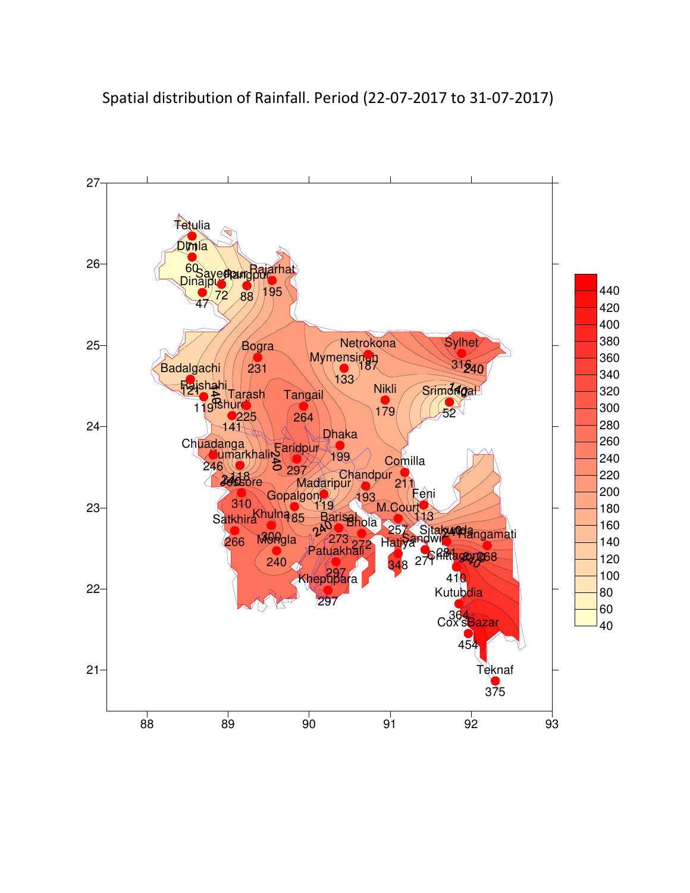

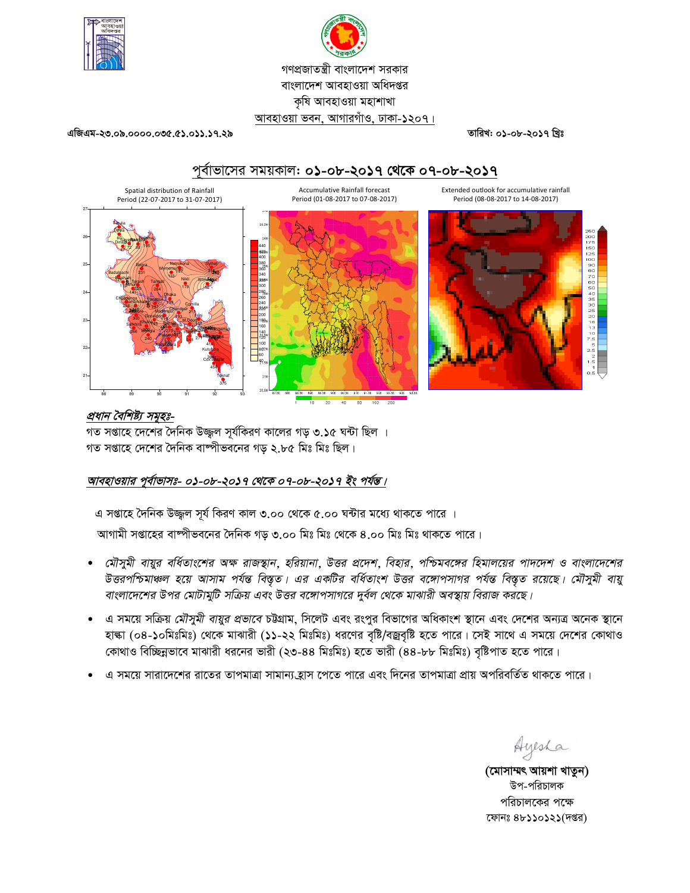



তারিখ: ০১-০৮-২০১৭ খ্রিঃ

এজিএম-২৩.০৯.০০০০.০৩৫.৫১.০১১.১৭.২৯

Spatial distribution of Rainfall

# পূর্বাভাসের সময়কাল: ০**১**-০৮-**২০১৭ থেকে** ০৭-০৮-**২০১৭**

Extended outlook for accumulative rainfall Period (08-08-2017 to 14-08-2017)





### প্রধান বৈশিষ্ট্য সমূহঃ-

গত সপ্তাহে দেশের দৈনিক উজ্জল সূর্যকিরণ কালের গড় ৩.১৫ ঘন্টা ছিল । গত সপ্তাহে দেশের দৈনিক বাষ্পীভবনের গড় ২.৮৫ মিঃ মিঃ ছিল।

## আবহাওয়ার পূর্বাভাসঃ- ০১-০৮-২০১৭ থেকে ০৭-০৮-২০১৭ ইং পর্যন্ত।

এ সপ্তাহে দৈনিক উজ্জল সূর্য কিরণ কাল ৩.০০ থেকে ৫.০০ ঘন্টার মধ্যে থাকতে পারে ।

আগামী সপ্তাহের বাষ্পীভবনের দৈনিক গড় ৩.০০ মিঃ মিঃ থেকে ৪.০০ মিঃ মিঃ থাকতে পারে।

- মৌসুমী বায়ুর বর্ধিতাংশের অক্ষ রাজস্থান, হরিয়ানা, উত্তর প্রদেশ, বিহার, পশ্চিমবঙ্গের হিমালয়ের পাদদেশ ও বাংলাদেশের -<br>উত্তরপশ্চিমাঞ্চল হয়ে আসাম পর্যন্ত বিস্তৃত। এর একটির বর্ধিতাংশ উত্তর বঙ্গোপসাগর পর্যন্ত বিস্তৃত রয়েছে। মৌসুমী বায়ু বাংলাদেশের উপর মোটামুটি সক্রিয় এবং উত্তর বঙ্গোপসাগরে দুর্বল থেকে মাঝারী অবস্থায় বিরাজ করছে।
- এ সময়ে সক্রিয় *মৌসুমী বায়ুর প্রভাবে* চউগ্রাম, সিলেট এবং রংপুর বিভাগের অধিকাংশ স্থানে এবং দেশের অন্যত্র অনেক স্থানে হাল্কা (০৪-১০মিঃমিঃ) থেকে মাঝারী (১১-২২ মিঃমিঃ) ধরণের বৃষ্টি/বজ্রবৃষ্টি হতে পারে। সেই সাথে এ সময়ে দেশের কোথাও কোথাও বিচ্ছিন্নভাবে মাঝারী ধরনের ভারী (২৩-৪৪ মিঃমিঃ) হতে ভারী (৪৪-৮৮ মিঃমিঃ) বৃষ্টিপাত হতে পারে।
- এ সময়ে সারাদেশের রাতের তাপমাত্রা সামান্য হ্রাস পেতে পারে এবং দিনের তাপমাত্রা প্রায় অপরিবর্তিত থাকতে পারে।

Ayesha

(মোসাম্মৎ আয়শা খাতুন) উপ-পরিচালক পরিচালকের পক্ষে ফোনঃ ৪৮১১০১২১(দপ্তর)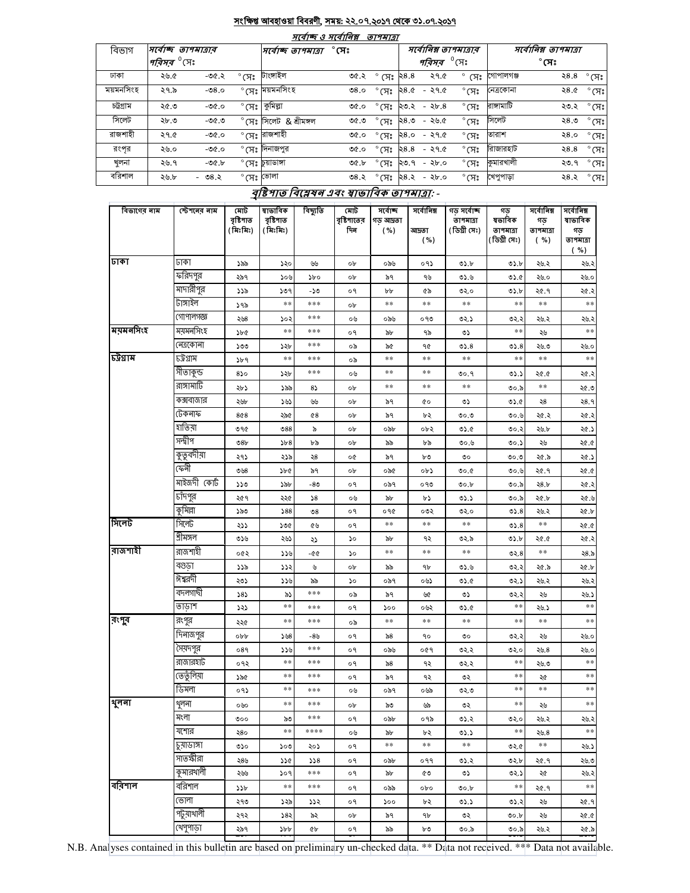#### সংক্ষিপ্ত আবহাওয়া বিবরণী, সময়: ২২.০৭.২০১৭ থেকে ৩১.০৭.২০১৭  $\overline{\phantom{a}}$

 $\leftarrow$   $\sim$ 

| માવાજ હ માવાાવક્ષ<br><i>פומחיו</i> ס |                                |         |                  |                         |              |                          |                       |         |                        |                          |              |                   |
|--------------------------------------|--------------------------------|---------|------------------|-------------------------|--------------|--------------------------|-----------------------|---------|------------------------|--------------------------|--------------|-------------------|
| বিভাগ                                | সৰ্বোচ্ছ তাপমাত্ৰাৰ            |         |                  | সর্বোচ্ছ তাপমাত্রা      | $^\circ$ সেঃ |                          | সর্বোনিম্ন তাপমাত্রার |         |                        | সর্বোনিম্ন তাপমাত্রা     |              |                   |
|                                      | <i>'পরিসর <sup>৩</sup></i> সেঃ |         |                  |                         |              |                          |                       | পরিসর   | $\,^\mathrm{o}$ মেঃ    |                          | $^\circ$ সেঃ |                   |
| ঢাকা                                 | ২৬.৫                           | $-00.5$ | $^{\circ}$ (সঃ   | টাংসাইল                 | ৩৫.২         | $^{\circ}$ (সঃ ২8.8      |                       | ২৭.৫    |                        | $^{\circ}$ (স: গোপালগঞ্জ |              | ২ $8.8^\circ$ সেঃ |
| ময়মনসিংহ                            | ২৭.৯                           | -৩৪.০   |                  | $^\circ$ মেঃ ময়মনসিংহ  | 0.8c         | $^{\circ}$ (সঃ           | ২৪.৫                  | - ২৭৫   | $^{\circ}$ সেঃ         | নেত্ৰকোনা                | ২৪.৫         | $^{\circ}$ (সঃ    |
| চট্টগ্ৰাম                            | ২৫.৩                           | $-90.0$ | $^{\circ}$ সেঃ . | কুমিল্লা                | ৩৫.০         | $^{\circ}$ (সঃ           | ২৩.২                  | $-25.8$ | $^{\circ}$ (সঃ         | রাসামাটি                 | ২৩.২         | $^{\circ}$ সেঃ    |
| সিলেট                                | ২৮.৩                           | -৩৫.৩   |                  | ° সেঃ সিলেট & শ্ৰীমঙ্গল | ৩৫.৩         | $^{\circ}$ (সঃ           | ২৪.৩                  | -২৬৫    | $\degree$ (সঃ          | সিলেট                    | ২ $8.9$      | $^{\circ}$ (সঃ    |
| রাজশাহী                              | ২৭.৫                           | -৩৫.০   |                  | °সেঃ রাজশাহী            | ৩৫.০         | $^{\circ}$ (সঃ           | ২৪.০                  | - ২৭৫   | $\degree$ CA $\degree$ | তারাশ                    | २ $8.0$      | $^{\circ}$ (সঃ    |
| রংপর                                 | ২৬.০                           | $-90-$  |                  | ° সেঃ দিনাজপুর          | ৩৫.০         | $^{\circ}$ (সঃ           | ২৪.৪                  | $-296$  | $^{\circ}$ (সঃ         | রিাজারহাট                | 28.8         | $^{\circ}$ (সঃ    |
| খলনা                                 | ২৬.৭                           | $-00.5$ |                  | ° সেঃ  ুয়াডাঙ্গা       | ৩৫.৮         | $^{\circ}$ CH $^{\circ}$ | ২৩.৭                  | - ২৮.০  | $^{\circ}$ (সঃ         | কুমারখালী                | ২৩.৭         | $^{\circ}$ (সঃ    |
| বরিশাল                               | ২৬.৮                           | - ৩৪.২  | °মেঃ ভোলা        |                         | 08.3         | $\degree$ CF)            | ২৪.২                  | - ২৮.০  | $^{\circ}$ (সঃ         | খেপুপাড়া                | ২৪.২         | $^{\circ}$ সেঃ    |

# বৃষ্টিপাত বিশ্লেষৰ এবং স্বাভাবিক তাপমাত্ৰা: -

| গড<br>ষভাবিক<br>তাপমাত্রা<br>(ডিগ্ৰী সেঃ)                                                                                  | সৰ্বোনিম্ন<br>গড়<br>তাপমাত্রা<br>( %)                                                                           | সৰ্বোনিম্ন<br>ষাভাবিক<br>গড়<br>তাপমাত্রা                                                                                                                                                                                                                                                                                                                                                                                                         |
|----------------------------------------------------------------------------------------------------------------------------|------------------------------------------------------------------------------------------------------------------|---------------------------------------------------------------------------------------------------------------------------------------------------------------------------------------------------------------------------------------------------------------------------------------------------------------------------------------------------------------------------------------------------------------------------------------------------|
|                                                                                                                            |                                                                                                                  | ( %)<br>২৬.২                                                                                                                                                                                                                                                                                                                                                                                                                                      |
|                                                                                                                            |                                                                                                                  | ২৬.০                                                                                                                                                                                                                                                                                                                                                                                                                                              |
|                                                                                                                            |                                                                                                                  | ২৫.২                                                                                                                                                                                                                                                                                                                                                                                                                                              |
|                                                                                                                            | $\ast\ast$                                                                                                       | $\ast$ $\ast$                                                                                                                                                                                                                                                                                                                                                                                                                                     |
|                                                                                                                            |                                                                                                                  | ২৬.২                                                                                                                                                                                                                                                                                                                                                                                                                                              |
|                                                                                                                            |                                                                                                                  | $\ast\ast$                                                                                                                                                                                                                                                                                                                                                                                                                                        |
|                                                                                                                            |                                                                                                                  | ২৬.০                                                                                                                                                                                                                                                                                                                                                                                                                                              |
|                                                                                                                            | $\ast$ $\ast$                                                                                                    | $\ast$ $\ast$                                                                                                                                                                                                                                                                                                                                                                                                                                     |
|                                                                                                                            |                                                                                                                  | ২৫.২                                                                                                                                                                                                                                                                                                                                                                                                                                              |
|                                                                                                                            | $\ast\ast$                                                                                                       | ২৫.৩                                                                                                                                                                                                                                                                                                                                                                                                                                              |
|                                                                                                                            |                                                                                                                  | २8.१                                                                                                                                                                                                                                                                                                                                                                                                                                              |
|                                                                                                                            |                                                                                                                  | ২৫.২                                                                                                                                                                                                                                                                                                                                                                                                                                              |
|                                                                                                                            |                                                                                                                  | ২৫.১                                                                                                                                                                                                                                                                                                                                                                                                                                              |
|                                                                                                                            |                                                                                                                  | 9.95                                                                                                                                                                                                                                                                                                                                                                                                                                              |
|                                                                                                                            |                                                                                                                  | ২৫.১                                                                                                                                                                                                                                                                                                                                                                                                                                              |
|                                                                                                                            |                                                                                                                  | 9.95                                                                                                                                                                                                                                                                                                                                                                                                                                              |
|                                                                                                                            |                                                                                                                  | ২৫.২                                                                                                                                                                                                                                                                                                                                                                                                                                              |
|                                                                                                                            |                                                                                                                  | ২৫.৬                                                                                                                                                                                                                                                                                                                                                                                                                                              |
|                                                                                                                            |                                                                                                                  | ২৫.৮                                                                                                                                                                                                                                                                                                                                                                                                                                              |
|                                                                                                                            | $***$                                                                                                            | ২৫.৫                                                                                                                                                                                                                                                                                                                                                                                                                                              |
|                                                                                                                            | ২৫.৫                                                                                                             | ২৫.২                                                                                                                                                                                                                                                                                                                                                                                                                                              |
|                                                                                                                            | $\ast\ast$                                                                                                       | ২8.৯                                                                                                                                                                                                                                                                                                                                                                                                                                              |
|                                                                                                                            | ২৫.৯                                                                                                             | ২৫.৮                                                                                                                                                                                                                                                                                                                                                                                                                                              |
|                                                                                                                            | ২৬.২                                                                                                             | ২৬.২                                                                                                                                                                                                                                                                                                                                                                                                                                              |
|                                                                                                                            | ২৬                                                                                                               | ২৬.১                                                                                                                                                                                                                                                                                                                                                                                                                                              |
|                                                                                                                            | ২৬.১                                                                                                             | $\ast\ast$                                                                                                                                                                                                                                                                                                                                                                                                                                        |
|                                                                                                                            | $\ast$ $\ast$                                                                                                    | $\ast\ast$                                                                                                                                                                                                                                                                                                                                                                                                                                        |
|                                                                                                                            | ২৬                                                                                                               | ২৬.০                                                                                                                                                                                                                                                                                                                                                                                                                                              |
|                                                                                                                            | ২৬.৪                                                                                                             | ২৬.০                                                                                                                                                                                                                                                                                                                                                                                                                                              |
|                                                                                                                            | ২৬.৩                                                                                                             | $\ast\ast$                                                                                                                                                                                                                                                                                                                                                                                                                                        |
|                                                                                                                            | ২৫                                                                                                               | $\ast\ast$                                                                                                                                                                                                                                                                                                                                                                                                                                        |
|                                                                                                                            | $**$                                                                                                             | $\ast\ast$                                                                                                                                                                                                                                                                                                                                                                                                                                        |
|                                                                                                                            | ২৬                                                                                                               | $**$                                                                                                                                                                                                                                                                                                                                                                                                                                              |
|                                                                                                                            | ২৬.২                                                                                                             | ২৬.২                                                                                                                                                                                                                                                                                                                                                                                                                                              |
|                                                                                                                            | 20.8                                                                                                             | $\ast\ast$                                                                                                                                                                                                                                                                                                                                                                                                                                        |
|                                                                                                                            | $\ast$ $\ast$                                                                                                    | ২৬.১                                                                                                                                                                                                                                                                                                                                                                                                                                              |
|                                                                                                                            | ২৫.৭                                                                                                             | ২৬.৩                                                                                                                                                                                                                                                                                                                                                                                                                                              |
|                                                                                                                            | ২৫                                                                                                               | ২৬.২                                                                                                                                                                                                                                                                                                                                                                                                                                              |
|                                                                                                                            | ২৫.৭                                                                                                             | $***$                                                                                                                                                                                                                                                                                                                                                                                                                                             |
|                                                                                                                            | ২৬                                                                                                               | ২৫.৭                                                                                                                                                                                                                                                                                                                                                                                                                                              |
|                                                                                                                            | ২৬                                                                                                               | 9.95                                                                                                                                                                                                                                                                                                                                                                                                                                              |
| ৩০.৯                                                                                                                       |                                                                                                                  |                                                                                                                                                                                                                                                                                                                                                                                                                                                   |
| 0.5<br>0.60<br>৩২.০<br>৩২.১<br>05.8<br>0.6<br>৩০.৫<br>00.b<br>05.5<br>৩২.০<br>৩২.৯<br>৩১.৬<br>৩১.৫<br>৩১.৫<br>05.5<br>৩১.১ | গড় সৰ্বোচ্ছ<br>তাপমাত্রা<br>(ডিগ্ৰী সেঃ)<br>৩০.৭<br>0.00<br>৩০.৬<br>৩২.২<br>৩২.২<br>৩২৩<br>৩১.২<br>৩১.২<br>৩০.৮ | ৩১.৮<br>২৬.২<br>৩১.৫<br>২৬.০<br>৩১.৮<br>২৫.৭<br>$**$<br>৩২.২<br>২৬.২<br>**<br>২৬<br>05.8<br>২৬.৩<br>**<br>৩১.১<br>২৫.৫<br>৩০.৯<br>0.6<br>২৪<br>২৫.২<br>৩০.৬<br>২৬.৮<br>৩০.২<br>২৬<br>৩০.১<br>২৫.৯<br>৩০.৩<br>২৫.৭<br>৩০.৬<br>28.5<br>৩০.৯<br>২৫.৮<br>৩০.৯<br>৩১. $8$<br>২৬.২<br>৩১. $8$<br>05.b<br>৩২. $8$<br>৩২.২<br>৩২১<br>৩২.২<br>**<br>**<br>৩২.২<br>৩২.০<br>**<br>**<br>**<br>**<br>৩২.০<br>**<br>৩২.৫<br>৩২.৮<br>৩২.১<br>**<br>05.2<br>৩০.৮ |

N.B. Analyses contained in this bulletin are based on preliminary un-checked data. \*\* Data not received. \*\*\* Data not available.